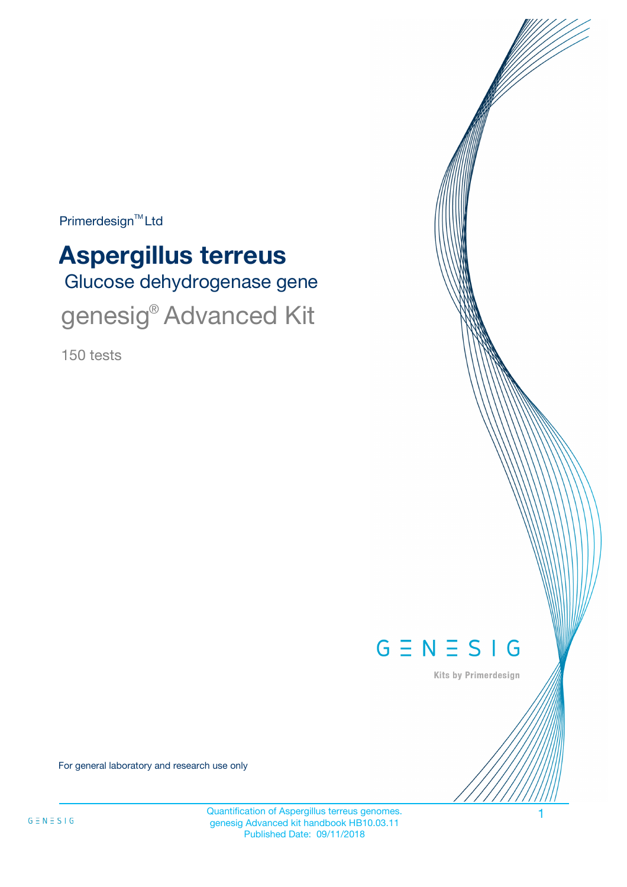Primerdesign<sup>™</sup>Ltd

# Glucose dehydrogenase gene **Aspergillus terreus** genesig<sup>®</sup> Advanced Kit

150 tests



Kits by Primerdesign

For general laboratory and research use only

Quantification of Aspergillus terreus genomes. 1 genesig Advanced kit handbook HB10.03.11 Published Date: 09/11/2018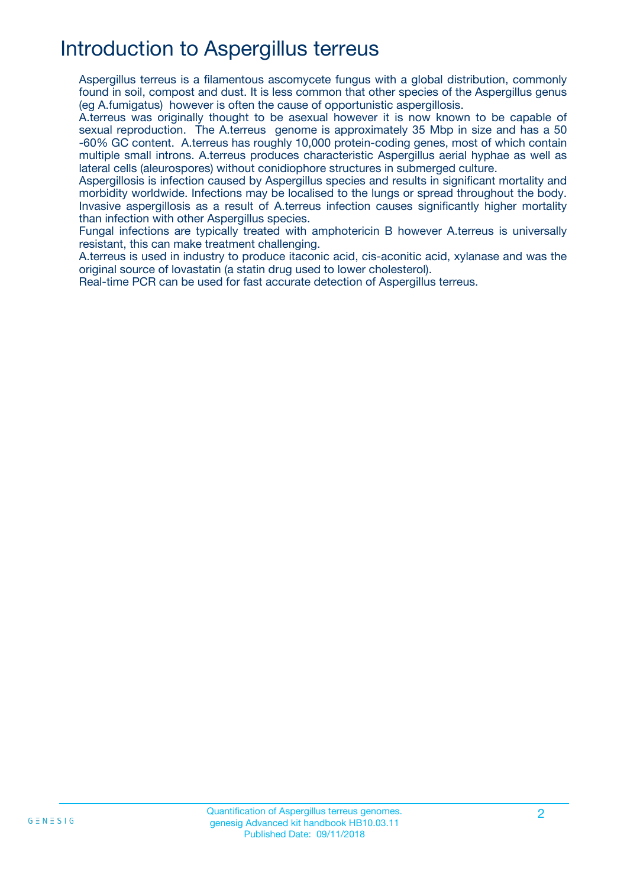## Introduction to Aspergillus terreus

Aspergillus terreus is a filamentous ascomycete fungus with a global distribution, commonly found in soil, compost and dust. It is less common that other species of the Aspergillus genus (eg A.fumigatus) however is often the cause of opportunistic aspergillosis.

A.terreus was originally thought to be asexual however it is now known to be capable of sexual reproduction. The A.terreus genome is approximately 35 Mbp in size and has a 50 -60% GC content. A.terreus has roughly 10,000 protein-coding genes, most of which contain multiple small introns. A.terreus produces characteristic Aspergillus aerial hyphae as well as lateral cells (aleurospores) without conidiophore structures in submerged culture.

Aspergillosis is infection caused by Aspergillus species and results in significant mortality and morbidity worldwide. Infections may be localised to the lungs or spread throughout the body. Invasive aspergillosis as a result of A.terreus infection causes significantly higher mortality than infection with other Aspergillus species.

Fungal infections are typically treated with amphotericin B however A.terreus is universally resistant, this can make treatment challenging.

A.terreus is used in industry to produce itaconic acid, cis-aconitic acid, xylanase and was the original source of lovastatin (a statin drug used to lower cholesterol).

Real-time PCR can be used for fast accurate detection of Aspergillus terreus.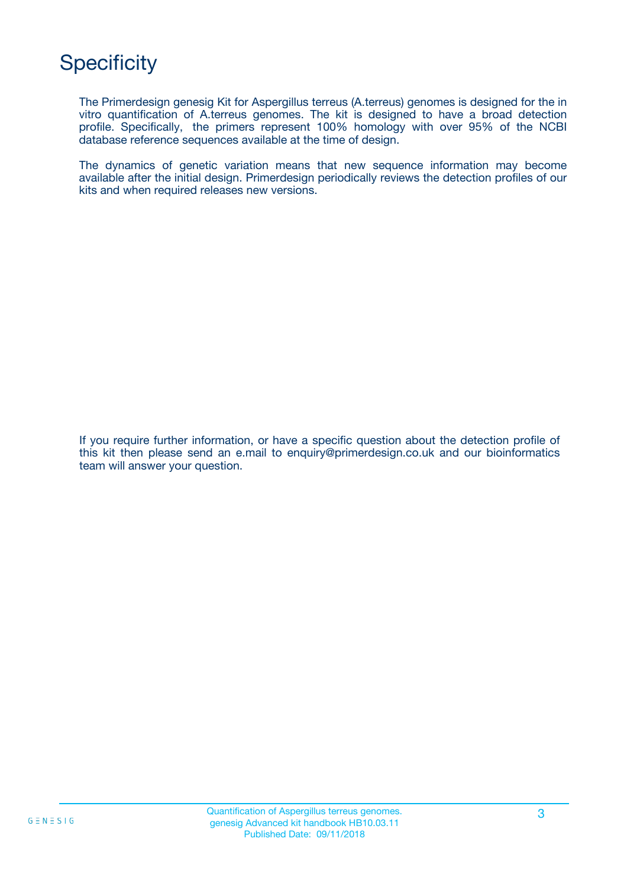## **Specificity**

The Primerdesign genesig Kit for Aspergillus terreus (A.terreus) genomes is designed for the in vitro quantification of A.terreus genomes. The kit is designed to have a broad detection profile. Specifically, the primers represent 100% homology with over 95% of the NCBI database reference sequences available at the time of design.

The dynamics of genetic variation means that new sequence information may become available after the initial design. Primerdesign periodically reviews the detection profiles of our kits and when required releases new versions.

If you require further information, or have a specific question about the detection profile of this kit then please send an e.mail to enquiry@primerdesign.co.uk and our bioinformatics team will answer your question.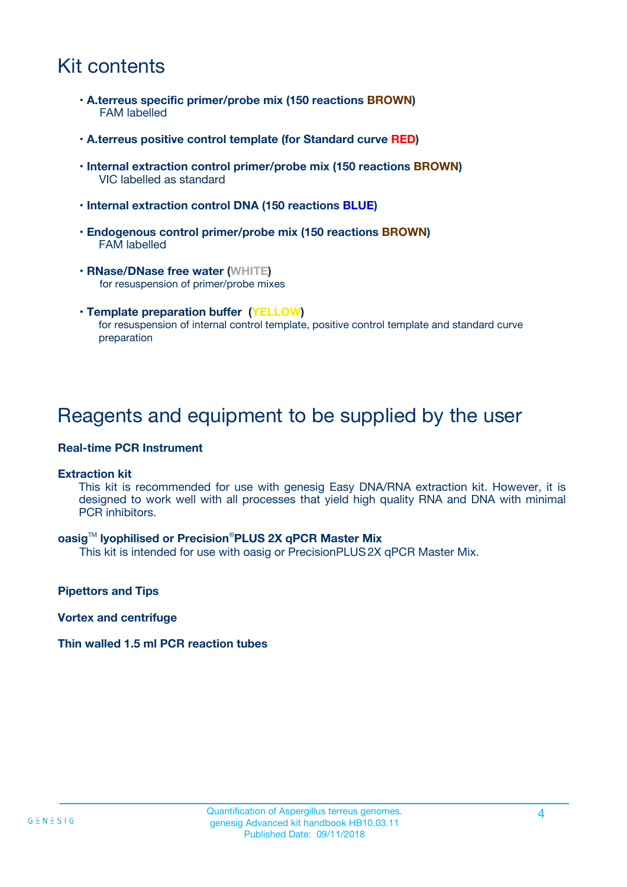## Kit contents

- **A.terreus specific primer/probe mix (150 reactions BROWN)** FAM labelled
- **A.terreus positive control template (for Standard curve RED)**
- **Internal extraction control primer/probe mix (150 reactions BROWN)** VIC labelled as standard
- **Internal extraction control DNA (150 reactions BLUE)**
- **Endogenous control primer/probe mix (150 reactions BROWN)** FAM labelled
- **RNase/DNase free water (WHITE)** for resuspension of primer/probe mixes
- **Template preparation buffer (YELLOW)** for resuspension of internal control template, positive control template and standard curve preparation

### Reagents and equipment to be supplied by the user

#### **Real-time PCR Instrument**

#### **Extraction kit**

This kit is recommended for use with genesig Easy DNA/RNA extraction kit. However, it is designed to work well with all processes that yield high quality RNA and DNA with minimal PCR inhibitors.

#### **oasig**TM **lyophilised or Precision**®**PLUS 2X qPCR Master Mix**

This kit is intended for use with oasig or PrecisionPLUS2X qPCR Master Mix.

**Pipettors and Tips**

**Vortex and centrifuge**

#### **Thin walled 1.5 ml PCR reaction tubes**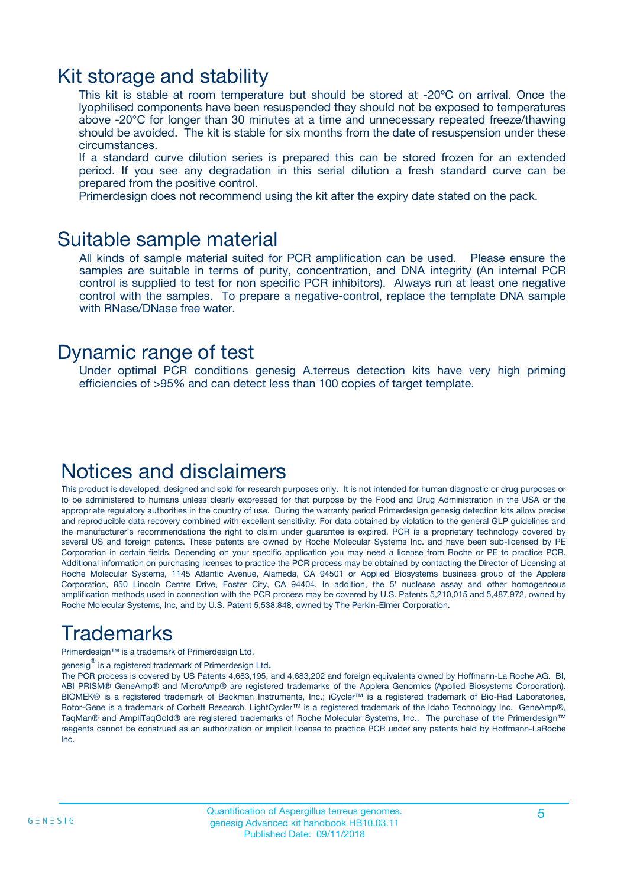### Kit storage and stability

This kit is stable at room temperature but should be stored at -20ºC on arrival. Once the lyophilised components have been resuspended they should not be exposed to temperatures above -20°C for longer than 30 minutes at a time and unnecessary repeated freeze/thawing should be avoided. The kit is stable for six months from the date of resuspension under these circumstances.

If a standard curve dilution series is prepared this can be stored frozen for an extended period. If you see any degradation in this serial dilution a fresh standard curve can be prepared from the positive control.

Primerdesign does not recommend using the kit after the expiry date stated on the pack.

### Suitable sample material

All kinds of sample material suited for PCR amplification can be used. Please ensure the samples are suitable in terms of purity, concentration, and DNA integrity (An internal PCR control is supplied to test for non specific PCR inhibitors). Always run at least one negative control with the samples. To prepare a negative-control, replace the template DNA sample with RNase/DNase free water.

### Dynamic range of test

Under optimal PCR conditions genesig A.terreus detection kits have very high priming efficiencies of >95% and can detect less than 100 copies of target template.

### Notices and disclaimers

This product is developed, designed and sold for research purposes only. It is not intended for human diagnostic or drug purposes or to be administered to humans unless clearly expressed for that purpose by the Food and Drug Administration in the USA or the appropriate regulatory authorities in the country of use. During the warranty period Primerdesign genesig detection kits allow precise and reproducible data recovery combined with excellent sensitivity. For data obtained by violation to the general GLP guidelines and the manufacturer's recommendations the right to claim under guarantee is expired. PCR is a proprietary technology covered by several US and foreign patents. These patents are owned by Roche Molecular Systems Inc. and have been sub-licensed by PE Corporation in certain fields. Depending on your specific application you may need a license from Roche or PE to practice PCR. Additional information on purchasing licenses to practice the PCR process may be obtained by contacting the Director of Licensing at Roche Molecular Systems, 1145 Atlantic Avenue, Alameda, CA 94501 or Applied Biosystems business group of the Applera Corporation, 850 Lincoln Centre Drive, Foster City, CA 94404. In addition, the 5' nuclease assay and other homogeneous amplification methods used in connection with the PCR process may be covered by U.S. Patents 5,210,015 and 5,487,972, owned by Roche Molecular Systems, Inc, and by U.S. Patent 5,538,848, owned by The Perkin-Elmer Corporation.

## Trademarks

Primerdesign™ is a trademark of Primerdesign Ltd.

genesig $^\circledR$  is a registered trademark of Primerdesign Ltd.

The PCR process is covered by US Patents 4,683,195, and 4,683,202 and foreign equivalents owned by Hoffmann-La Roche AG. BI, ABI PRISM® GeneAmp® and MicroAmp® are registered trademarks of the Applera Genomics (Applied Biosystems Corporation). BIOMEK® is a registered trademark of Beckman Instruments, Inc.; iCycler™ is a registered trademark of Bio-Rad Laboratories, Rotor-Gene is a trademark of Corbett Research. LightCycler™ is a registered trademark of the Idaho Technology Inc. GeneAmp®, TaqMan® and AmpliTaqGold® are registered trademarks of Roche Molecular Systems, Inc., The purchase of the Primerdesign™ reagents cannot be construed as an authorization or implicit license to practice PCR under any patents held by Hoffmann-LaRoche Inc.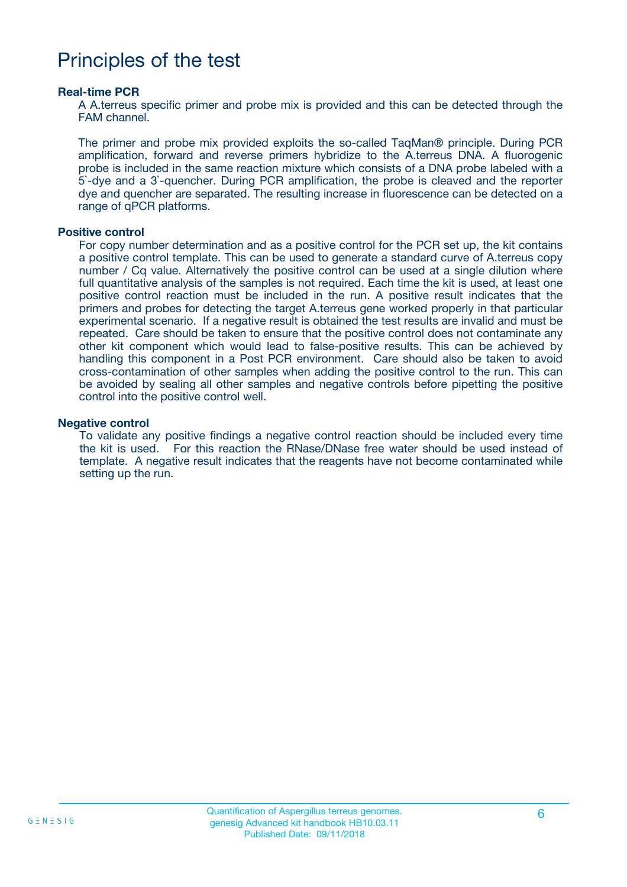### Principles of the test

#### **Real-time PCR**

A A.terreus specific primer and probe mix is provided and this can be detected through the FAM channel.

The primer and probe mix provided exploits the so-called TaqMan® principle. During PCR amplification, forward and reverse primers hybridize to the A.terreus DNA. A fluorogenic probe is included in the same reaction mixture which consists of a DNA probe labeled with a 5`-dye and a 3`-quencher. During PCR amplification, the probe is cleaved and the reporter dye and quencher are separated. The resulting increase in fluorescence can be detected on a range of qPCR platforms.

#### **Positive control**

For copy number determination and as a positive control for the PCR set up, the kit contains a positive control template. This can be used to generate a standard curve of A.terreus copy number / Cq value. Alternatively the positive control can be used at a single dilution where full quantitative analysis of the samples is not required. Each time the kit is used, at least one positive control reaction must be included in the run. A positive result indicates that the primers and probes for detecting the target A.terreus gene worked properly in that particular experimental scenario. If a negative result is obtained the test results are invalid and must be repeated. Care should be taken to ensure that the positive control does not contaminate any other kit component which would lead to false-positive results. This can be achieved by handling this component in a Post PCR environment. Care should also be taken to avoid cross-contamination of other samples when adding the positive control to the run. This can be avoided by sealing all other samples and negative controls before pipetting the positive control into the positive control well.

#### **Negative control**

To validate any positive findings a negative control reaction should be included every time the kit is used. For this reaction the RNase/DNase free water should be used instead of template. A negative result indicates that the reagents have not become contaminated while setting up the run.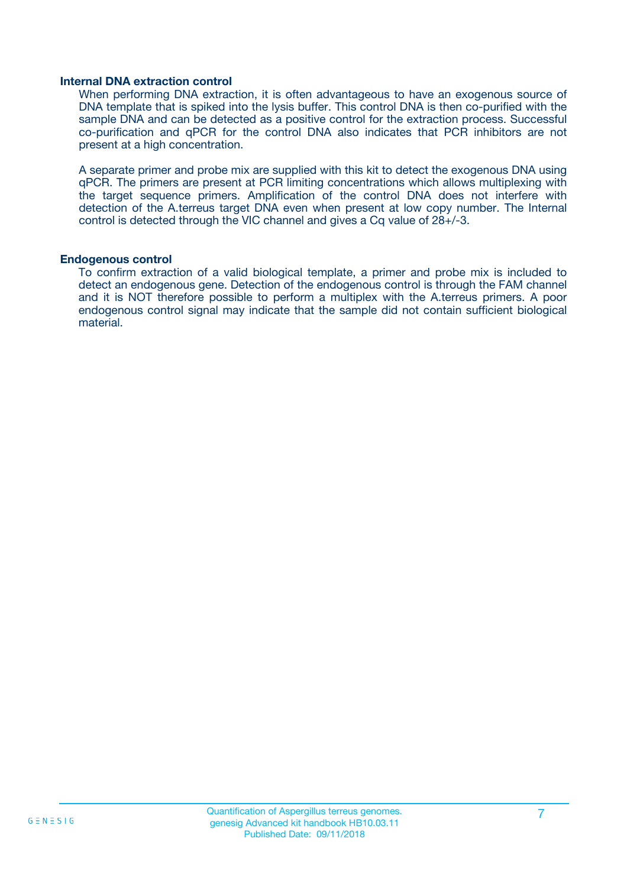#### **Internal DNA extraction control**

When performing DNA extraction, it is often advantageous to have an exogenous source of DNA template that is spiked into the lysis buffer. This control DNA is then co-purified with the sample DNA and can be detected as a positive control for the extraction process. Successful co-purification and qPCR for the control DNA also indicates that PCR inhibitors are not present at a high concentration.

A separate primer and probe mix are supplied with this kit to detect the exogenous DNA using qPCR. The primers are present at PCR limiting concentrations which allows multiplexing with the target sequence primers. Amplification of the control DNA does not interfere with detection of the A.terreus target DNA even when present at low copy number. The Internal control is detected through the VIC channel and gives a Cq value of 28+/-3.

#### **Endogenous control**

To confirm extraction of a valid biological template, a primer and probe mix is included to detect an endogenous gene. Detection of the endogenous control is through the FAM channel and it is NOT therefore possible to perform a multiplex with the A.terreus primers. A poor endogenous control signal may indicate that the sample did not contain sufficient biological material.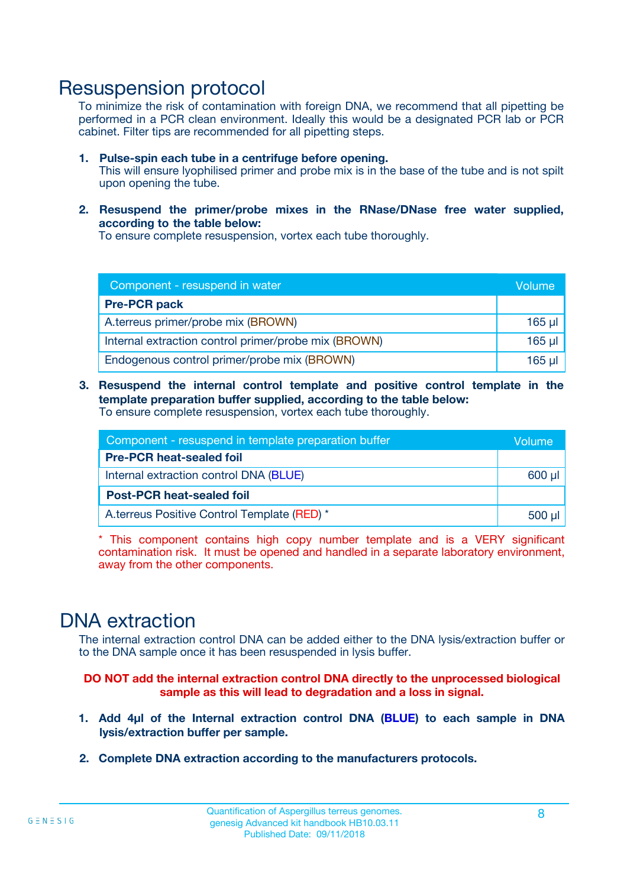### Resuspension protocol

To minimize the risk of contamination with foreign DNA, we recommend that all pipetting be performed in a PCR clean environment. Ideally this would be a designated PCR lab or PCR cabinet. Filter tips are recommended for all pipetting steps.

- **1. Pulse-spin each tube in a centrifuge before opening.** This will ensure lyophilised primer and probe mix is in the base of the tube and is not spilt upon opening the tube.
- **2. Resuspend the primer/probe mixes in the RNase/DNase free water supplied, according to the table below:**

To ensure complete resuspension, vortex each tube thoroughly.

| Component - resuspend in water                       |         |  |
|------------------------------------------------------|---------|--|
| <b>Pre-PCR pack</b>                                  |         |  |
| A.terreus primer/probe mix (BROWN)                   | $165$ µ |  |
| Internal extraction control primer/probe mix (BROWN) | $165$ µ |  |
| Endogenous control primer/probe mix (BROWN)          | 165 µl  |  |

**3. Resuspend the internal control template and positive control template in the template preparation buffer supplied, according to the table below:** To ensure complete resuspension, vortex each tube thoroughly.

| Component - resuspend in template preparation buffer |  |  |
|------------------------------------------------------|--|--|
| <b>Pre-PCR heat-sealed foil</b>                      |  |  |
| Internal extraction control DNA (BLUE)               |  |  |
| <b>Post-PCR heat-sealed foil</b>                     |  |  |
| A.terreus Positive Control Template (RED) *          |  |  |

\* This component contains high copy number template and is a VERY significant contamination risk. It must be opened and handled in a separate laboratory environment, away from the other components.

### DNA extraction

The internal extraction control DNA can be added either to the DNA lysis/extraction buffer or to the DNA sample once it has been resuspended in lysis buffer.

**DO NOT add the internal extraction control DNA directly to the unprocessed biological sample as this will lead to degradation and a loss in signal.**

- **1. Add 4µl of the Internal extraction control DNA (BLUE) to each sample in DNA lysis/extraction buffer per sample.**
- **2. Complete DNA extraction according to the manufacturers protocols.**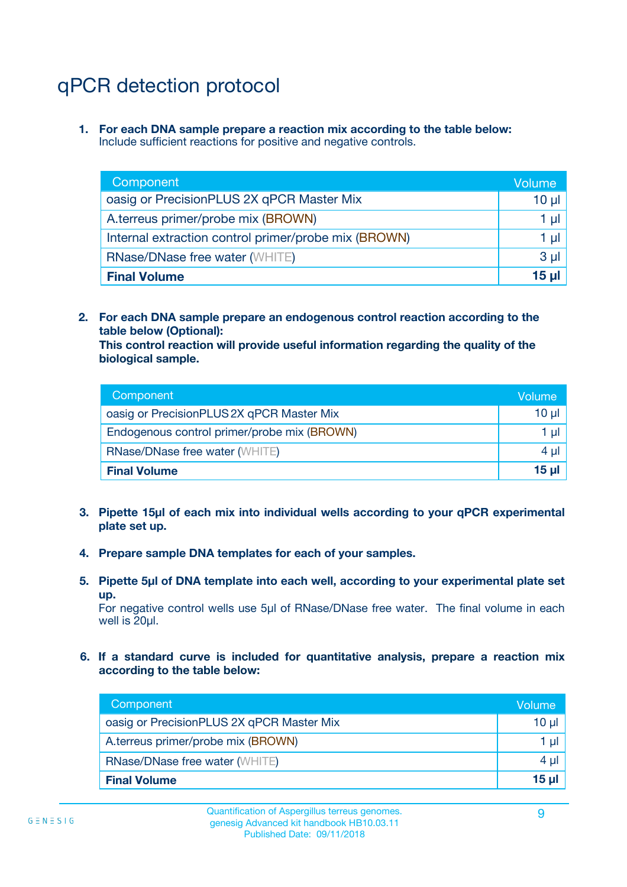## qPCR detection protocol

**1. For each DNA sample prepare a reaction mix according to the table below:** Include sufficient reactions for positive and negative controls.

| Component                                            | Volume   |
|------------------------------------------------------|----------|
| oasig or PrecisionPLUS 2X qPCR Master Mix            | 10 $\mu$ |
| A.terreus primer/probe mix (BROWN)                   | 1 µI I   |
| Internal extraction control primer/probe mix (BROWN) | 1 µl     |
| <b>RNase/DNase free water (WHITE)</b>                | $3 \mu$  |
| <b>Final Volume</b>                                  | 15 µl    |

**2. For each DNA sample prepare an endogenous control reaction according to the table below (Optional):**

**This control reaction will provide useful information regarding the quality of the biological sample.**

| Component                                   | Volume          |
|---------------------------------------------|-----------------|
| oasig or PrecisionPLUS 2X qPCR Master Mix   | 10 <sub>µ</sub> |
| Endogenous control primer/probe mix (BROWN) | 1 µI            |
| <b>RNase/DNase free water (WHITE)</b>       | $4 \mu$         |
| <b>Final Volume</b>                         | 15 µl           |

- **3. Pipette 15µl of each mix into individual wells according to your qPCR experimental plate set up.**
- **4. Prepare sample DNA templates for each of your samples.**
- **5. Pipette 5µl of DNA template into each well, according to your experimental plate set up.**

For negative control wells use 5µl of RNase/DNase free water. The final volume in each well is 20ul.

**6. If a standard curve is included for quantitative analysis, prepare a reaction mix according to the table below:**

| Component                                 | Volume  |
|-------------------------------------------|---------|
| oasig or PrecisionPLUS 2X qPCR Master Mix | 10 µl   |
| A.terreus primer/probe mix (BROWN)        |         |
| <b>RNase/DNase free water (WHITE)</b>     | $4 \mu$ |
| <b>Final Volume</b>                       | 15 µl   |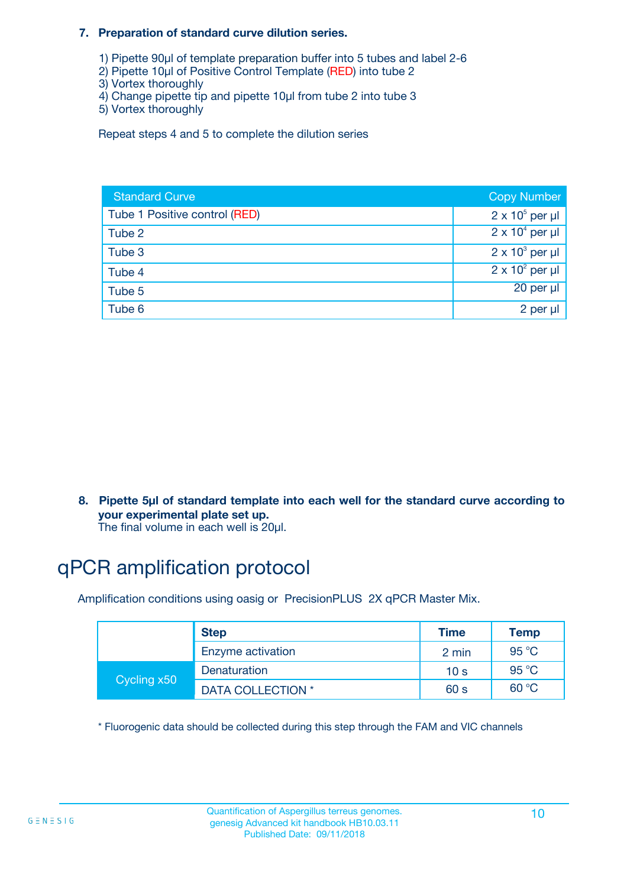#### **7. Preparation of standard curve dilution series.**

- 1) Pipette 90µl of template preparation buffer into 5 tubes and label 2-6
- 2) Pipette 10µl of Positive Control Template (RED) into tube 2
- 3) Vortex thoroughly
- 4) Change pipette tip and pipette 10µl from tube 2 into tube 3
- 5) Vortex thoroughly

Repeat steps 4 and 5 to complete the dilution series

| <b>Standard Curve</b>         | <b>Copy Number</b>     |
|-------------------------------|------------------------|
| Tube 1 Positive control (RED) | $2 \times 10^5$ per µl |
| Tube 2                        | $2 \times 10^4$ per µl |
| Tube 3                        | $2 \times 10^3$ per µl |
| Tube 4                        | $2 \times 10^2$ per µl |
| Tube 5                        | 20 per µl              |
| Tube 6                        | 2 per µl               |

**8. Pipette 5µl of standard template into each well for the standard curve according to your experimental plate set up.**

#### The final volume in each well is 20µl.

## qPCR amplification protocol

Amplification conditions using oasig or PrecisionPLUS 2X qPCR Master Mix.

|             | <b>Step</b>       | <b>Time</b>     | Temp    |
|-------------|-------------------|-----------------|---------|
|             | Enzyme activation | 2 min           | 95 °C   |
| Cycling x50 | Denaturation      | 10 <sub>s</sub> | 95 $°C$ |
|             | DATA COLLECTION * | 60 s            | 60 °C   |

\* Fluorogenic data should be collected during this step through the FAM and VIC channels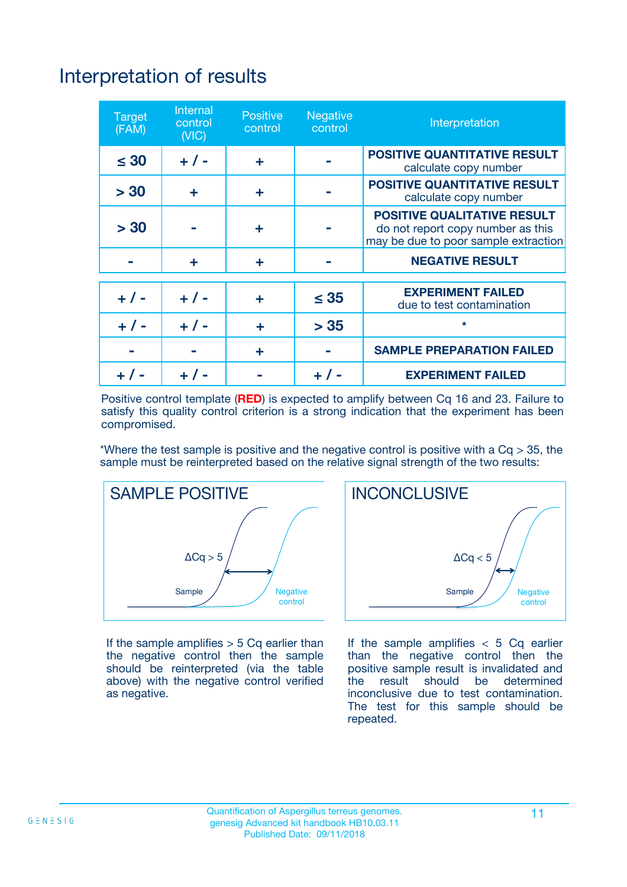## Interpretation of results

| <b>Target</b><br>(FAM) | <b>Internal</b><br>control<br>(NIC) | <b>Positive</b><br>control | <b>Negative</b><br>control | Interpretation                                                                                                  |
|------------------------|-------------------------------------|----------------------------|----------------------------|-----------------------------------------------------------------------------------------------------------------|
| $\leq 30$              | $+ 1 -$                             | ÷                          |                            | <b>POSITIVE QUANTITATIVE RESULT</b><br>calculate copy number                                                    |
| > 30                   | ٠                                   | ÷                          |                            | <b>POSITIVE QUANTITATIVE RESULT</b><br>calculate copy number                                                    |
| > 30                   |                                     | ÷                          |                            | <b>POSITIVE QUALITATIVE RESULT</b><br>do not report copy number as this<br>may be due to poor sample extraction |
|                        | ÷                                   | ÷                          |                            | <b>NEGATIVE RESULT</b>                                                                                          |
| $+ 1 -$                | $+ 1 -$                             | ÷                          | $\leq$ 35                  | <b>EXPERIMENT FAILED</b><br>due to test contamination                                                           |
| $+$ / -                | $+ 1 -$                             | ÷                          | > 35                       | $\star$                                                                                                         |
|                        |                                     | ÷                          |                            | <b>SAMPLE PREPARATION FAILED</b>                                                                                |
|                        |                                     |                            | $+$ /                      | <b>EXPERIMENT FAILED</b>                                                                                        |

Positive control template (**RED**) is expected to amplify between Cq 16 and 23. Failure to satisfy this quality control criterion is a strong indication that the experiment has been compromised.

\*Where the test sample is positive and the negative control is positive with a  $Ca > 35$ , the sample must be reinterpreted based on the relative signal strength of the two results:



If the sample amplifies  $> 5$  Cq earlier than the negative control then the sample should be reinterpreted (via the table above) with the negative control verified as negative.



If the sample amplifies  $< 5$  Cq earlier than the negative control then the positive sample result is invalidated and<br>the result should be determined  $the$  result should be inconclusive due to test contamination. The test for this sample should be repeated.